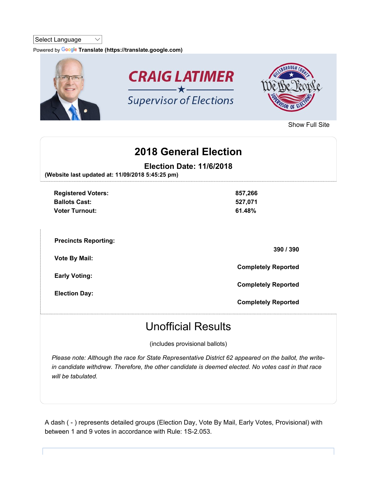#### Select Language  $\vee$

Powered by Google Translate (https://translate.google.com)



Show Full Site

## 2018 General Election

Election Date: 11/6/2018

(Website last updated at: 11/09/2018 5:45:25 pm)

| <b>Registered Voters:</b><br><b>Ballots Cast:</b><br><b>Voter Turnout:</b> | 857,266<br>527,071<br>61.48% |
|----------------------------------------------------------------------------|------------------------------|
| <b>Precincts Reporting:</b>                                                | 390 / 390                    |
| <b>Vote By Mail:</b><br><b>Early Voting:</b>                               | <b>Completely Reported</b>   |
| <b>Election Day:</b>                                                       | <b>Completely Reported</b>   |
|                                                                            | <b>Completely Reported</b>   |

# Unofficial Results

(includes provisional ballots)

Please note: Although the race for State Representative District 62 appeared on the ballot, the writein candidate withdrew. Therefore, the other candidate is deemed elected. No votes cast in that race will be tabulated.

A dash ( - ) represents detailed groups (Election Day, Vote By Mail, Early Votes, Provisional) with between 1 and 9 votes in accordance with Rule: 1S-2.053.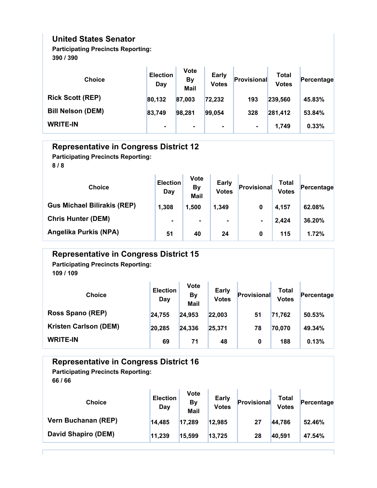### United States Senator

Participating Precincts Reporting: 390 / 390

| <b>Choice</b>            | <b>Election</b><br>Day | <b>Vote</b><br><b>By</b><br><b>Mail</b> | Early<br><b>Votes</b> | Provisional    | Total<br><b>Votes</b> | Percentage |
|--------------------------|------------------------|-----------------------------------------|-----------------------|----------------|-----------------------|------------|
| <b>Rick Scott (REP)</b>  | 80,132                 | 87,003                                  | 72,232                | 193            | 239,560               | 45.83%     |
| <b>Bill Nelson (DEM)</b> | 83,749                 | 98,281                                  | 99,054                | 328            | 281,412               | 53.84%     |
| <b>WRITE-IN</b>          | $\blacksquare$         | $\blacksquare$                          | $\blacksquare$        | $\blacksquare$ | 1.749                 | 0.33%      |

| <b>Representative in Congress District 12</b><br><b>Participating Precincts Reporting:</b><br>8/8 |                        |                                         |                              |             |                              |            |
|---------------------------------------------------------------------------------------------------|------------------------|-----------------------------------------|------------------------------|-------------|------------------------------|------------|
| <b>Choice</b>                                                                                     | <b>Election</b><br>Day | <b>Vote</b><br><b>By</b><br><b>Mail</b> | <b>Early</b><br><b>Votes</b> | Provisional | <b>Total</b><br><b>Votes</b> | Percentage |
| <b>Gus Michael Bilirakis (REP)</b>                                                                | 1,308                  | 1,500                                   | 1,349                        | 0           | 4,157                        | 62.08%     |
| <b>Chris Hunter (DEM)</b>                                                                         | $\blacksquare$         | ۰                                       | $\blacksquare$               | ۰.          | 2,424                        | 36.20%     |
| Angelika Purkis (NPA)                                                                             | 51                     | 40                                      | 24                           | $\bf{0}$    | 115                          | 1.72%      |

| <b>Representative in Congress District 15</b><br><b>Participating Precincts Reporting:</b><br>109 / 109 |                        |                                  |                              |                    |                              |            |
|---------------------------------------------------------------------------------------------------------|------------------------|----------------------------------|------------------------------|--------------------|------------------------------|------------|
| <b>Choice</b>                                                                                           | <b>Election</b><br>Day | <b>Vote</b><br><b>By</b><br>Mail | <b>Early</b><br><b>Votes</b> | <b>Provisional</b> | <b>Total</b><br><b>Votes</b> | Percentage |
| Ross Spano (REP)                                                                                        | 24,755                 | 24,953                           | 22,003                       | 51                 | 71,762                       | 50.53%     |
| <b>Kristen Carlson (DEM)</b>                                                                            | 20,285                 | 24,336                           | 25,371                       | 78                 | 70,070                       | 49.34%     |
| <b>WRITE-IN</b>                                                                                         | 69                     | 71                               | 48                           | 0                  | 188                          | 0.13%      |

## Representative in Congress District 16

## Participating Precincts Reporting:

| <b>Choice</b>       | <b>Election</b><br>Day | <b>Vote</b><br>By<br>Mail | <b>Early</b><br><b>Votes</b> | Provisional | Total<br><b>Votes</b> | Percentage |
|---------------------|------------------------|---------------------------|------------------------------|-------------|-----------------------|------------|
| Vern Buchanan (REP) | 14,485                 | 17,289                    | 12,985                       | 27          | 44,786                | 52.46%     |
| David Shapiro (DEM) | 11,239                 | 15,599                    | 13,725                       | 28          | 40,591                | 47.54%     |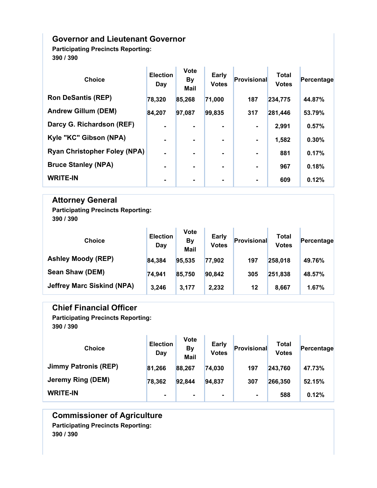#### Governor and Lieutenant Governor

Participating Precincts Reporting: 390 / 390

| <b>Choice</b>                       | <b>Election</b><br>Day | <b>Vote</b><br><b>By</b><br>Mail | Early<br><b>Votes</b> | Provisional    | <b>Total</b><br><b>Votes</b> | Percentage |
|-------------------------------------|------------------------|----------------------------------|-----------------------|----------------|------------------------------|------------|
| <b>Ron DeSantis (REP)</b>           | 78,320                 | 85,268                           | 71,000                | 187            | 234,775                      | 44.87%     |
| <b>Andrew Gillum (DEM)</b>          | 84,207                 | 97,087                           | 99,835                | 317            | 281,446                      | 53.79%     |
| Darcy G. Richardson (REF)           | $\blacksquare$         | ۰.                               | $\blacksquare$        | $\blacksquare$ | 2,991                        | 0.57%      |
| Kyle "KC" Gibson (NPA)              | $\blacksquare$         | ۰                                | $\blacksquare$        | $\blacksquare$ | 1,582                        | 0.30%      |
| <b>Ryan Christopher Foley (NPA)</b> | $\blacksquare$         | $\blacksquare$                   | $\blacksquare$        | ۰.             | 881                          | 0.17%      |
| <b>Bruce Stanley (NPA)</b>          | $\blacksquare$         | ۰                                | $\blacksquare$        | $\blacksquare$ | 967                          | 0.18%      |
| <b>WRITE-IN</b>                     |                        | ۰                                |                       | ٠              | 609                          | 0.12%      |

### Attorney General

Participating Precincts Reporting: 390 / 390

| <b>Choice</b>                     | <b>Election</b><br>Day | <b>Vote</b><br><b>By</b><br><b>Mail</b> | <b>Early</b><br><b>Votes</b> | Provisional | Total<br><b>Votes</b> | Percentage |
|-----------------------------------|------------------------|-----------------------------------------|------------------------------|-------------|-----------------------|------------|
| <b>Ashley Moody (REP)</b>         | 84,384                 | 95,535                                  | 77,902                       | 197         | 258,018               | 49.76%     |
| Sean Shaw (DEM)                   | 74,941                 | 85,750                                  | 90,842                       | 305         | 251,838               | 48.57%     |
| <b>Jeffrey Marc Siskind (NPA)</b> | 3,246                  | 3.177                                   | 2,232                        | 12          | 8,667                 | 1.67%      |

#### Chief Financial Officer

Participating Precincts Reporting: 390 / 390

| <b>Choice</b>               | <b>Election</b><br>Day | <b>Vote</b><br>By<br><b>Mail</b> | <b>Early</b><br><b>Votes</b> | Provisional    | Total<br><b>Votes</b> | Percentage |
|-----------------------------|------------------------|----------------------------------|------------------------------|----------------|-----------------------|------------|
| <b>Jimmy Patronis (REP)</b> | 81,266                 | 88,267                           | 74,030                       | 197            | 243,760               | 47.73%     |
| Jeremy Ring (DEM)           | 78,362                 | 92,844                           | 94,837                       | 307            | 266,350               | 52.15%     |
| <b>WRITE-IN</b>             | $\blacksquare$         | ۰.                               | $\blacksquare$               | $\blacksquare$ | 588                   | 0.12%      |

Commissioner of Agriculture Participating Precincts Reporting: 390 / 390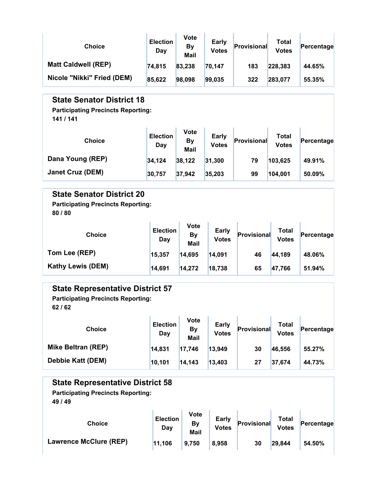| <b>Choice</b>              | <b>Election</b><br>Day | <b>Vote</b><br>By<br><b>Mail</b> | Early<br><b>Votes</b> | Provisional | Total<br><b>Votes</b> | Percentage |
|----------------------------|------------------------|----------------------------------|-----------------------|-------------|-----------------------|------------|
| <b>Matt Caldwell (REP)</b> | 74,815                 | 83,238                           | 70,147                | 183         | 228,383               | 44.65%     |
| Nicole "Nikki" Fried (DEM) | 85,622                 | 98,098                           | 99,035                | 322         | 283,077               | 55.35%     |

#### State Senator District 18

Participating Precincts Reporting:

141 / 141

| <b>Choice</b>           | <b>Election</b><br>Day | <b>Vote</b><br>By<br><b>Mail</b> | <b>Early</b><br><b>Votes</b> | Provisional | Total<br><b>Votes</b> | Percentage |
|-------------------------|------------------------|----------------------------------|------------------------------|-------------|-----------------------|------------|
| Dana Young (REP)        | 34,124                 | 38,122                           | 31.300                       | 79          | 103,625               | 49.91%     |
| <b>Janet Cruz (DEM)</b> | 30,757                 | 37,942                           | 35,203                       | 99          | 104,001               | 50.09%     |

#### State Senator District 20

Participating Precincts Reporting: 80 / 80

| <b>Choice</b>            | <b>Election</b><br>Day | Vote<br>By<br><b>Mail</b> | <b>Early</b><br><b>Votes</b> | Provisional | Total<br><b>Votes</b> | Percentage |
|--------------------------|------------------------|---------------------------|------------------------------|-------------|-----------------------|------------|
| Tom Lee (REP)            | 15,357                 | 14,695                    | 14,091                       | 46          | 44,189                | 48.06%     |
| <b>Kathy Lewis (DEM)</b> | 14,691                 | 14,272                    | 18,738                       | 65          | 47,766                | 51.94%     |

#### State Representative District 57

Participating Precincts Reporting: 62 / 62

| <b>Choice</b>             | <b>Election</b><br>Day | Vote<br>By<br><b>Mail</b> | <b>Early</b><br><b>Votes</b> | Provisional | Total<br><b>Votes</b> | Percentage |
|---------------------------|------------------------|---------------------------|------------------------------|-------------|-----------------------|------------|
| <b>Mike Beltran (REP)</b> | 14,831                 | 17,746                    | 13,949                       | 30          | 46,556                | 55.27%     |
| <b>Debbie Katt (DEM)</b>  | 10,101                 | 14.143                    | 13,403                       | 27          | 37,674                | 44.73%     |

#### State Representative District 58

Participating Precincts Reporting:

| <b>Choice</b>          | <b>Election</b><br>Day | <b>Vote</b><br>By<br><b>Mail</b> | Early<br><b>Votes</b> | Provisional | Total<br><b>Votes</b> | Percentage |
|------------------------|------------------------|----------------------------------|-----------------------|-------------|-----------------------|------------|
| Lawrence McClure (REP) | 11,106                 | 9,750                            | 8,958                 | 30          | 29,844                | 54.50%     |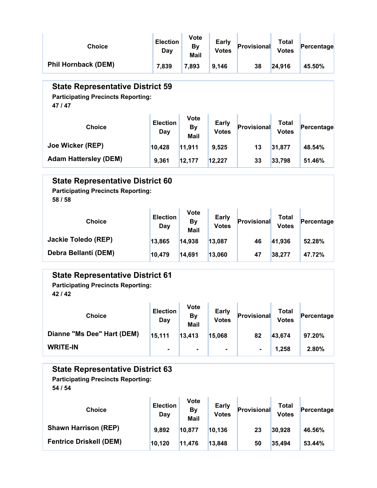| <b>Choice</b>                                                                                   | <b>Election</b><br>Day | Vote<br><b>By</b><br><b>Mail</b>        | <b>Early</b><br><b>Votes</b> | <b>Provisional</b> | <b>Total</b><br><b>Votes</b> | Percentage |
|-------------------------------------------------------------------------------------------------|------------------------|-----------------------------------------|------------------------------|--------------------|------------------------------|------------|
| <b>Phil Hornback (DEM)</b>                                                                      | 7,839                  | 7,893                                   | 9,146                        | 38                 | 24,916                       | 45.50%     |
| <b>State Representative District 59</b><br><b>Participating Precincts Reporting:</b><br>47/47   |                        |                                         |                              |                    |                              |            |
| <b>Choice</b>                                                                                   | <b>Election</b><br>Day | <b>Vote</b><br><b>By</b><br><b>Mail</b> | Early<br><b>Votes</b>        | <b>Provisional</b> | <b>Total</b><br><b>Votes</b> | Percentage |
| Joe Wicker (REP)                                                                                | 10,428                 |                                         | 9,525                        | 13                 | 31,877                       | 48.54%     |
| <b>Adam Hattersley (DEM)</b>                                                                    | 9,361                  | 12,177                                  | 12,227                       | 33                 | 33,798                       | 51.46%     |
| <b>State Representative District 60</b><br><b>Participating Precincts Reporting:</b><br>58 / 58 |                        |                                         |                              |                    |                              |            |
| <b>Choice</b>                                                                                   | <b>Election</b><br>Day | <b>Vote</b><br>By<br><b>Mail</b>        | Early<br><b>Votes</b>        | <b>Provisional</b> | <b>Total</b><br><b>Votes</b> | Percentage |
| <b>Jackie Toledo (REP)</b>                                                                      | 13,865                 | 14,938                                  | 13,087                       | 46                 | 41,936                       | 52.28%     |
| Debra Bellanti (DEM)                                                                            | 10,479                 | 14,691                                  | 13,060                       | 47                 | 38,277                       | 47.72%     |
| <b>State Representative District 61</b><br><b>Participating Precincts Reporting:</b><br>42/42   |                        | Vote                                    |                              |                    |                              |            |

| <b>Choice</b>              | <b>Election</b><br>Day | <b>Vote</b><br><b>By</b><br>Mail | <b>Early</b><br><b>Votes</b> | Provisional    | Total<br><b>Votes</b> | Percentage |
|----------------------------|------------------------|----------------------------------|------------------------------|----------------|-----------------------|------------|
| Dianne "Ms Dee" Hart (DEM) | 15,111                 | 13,413                           | 15,068                       | 82             | 43,674                | 97.20%     |
| <b>WRITE-IN</b>            | $\blacksquare$         |                                  | $\blacksquare$               | $\blacksquare$ | 1.258                 | 2.80%      |

# State Representative District 63

Participating Precincts Reporting: 54 / 54

| <b>Choice</b>                  | <b>Election</b><br>Day | <b>Vote</b><br>By<br><b>Mail</b> | <b>Early</b><br><b>Votes</b> | Provisional | Total<br><b>Votes</b> | Percentage |
|--------------------------------|------------------------|----------------------------------|------------------------------|-------------|-----------------------|------------|
| <b>Shawn Harrison (REP)</b>    | 9,892                  | 10,877                           | 10,136                       | 23          | 30,928                | 46.56%     |
| <b>Fentrice Driskell (DEM)</b> | 10,120                 | 11.476                           | 13,848                       | 50          | 35,494                | 53.44%     |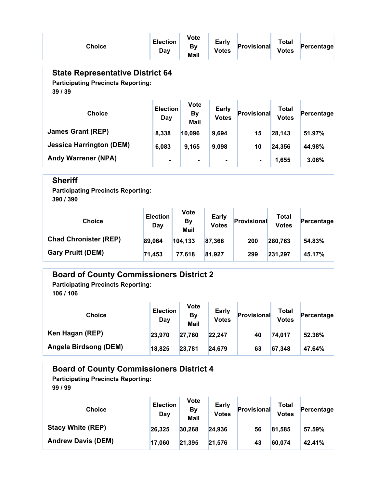| <b>Choice</b>                                                                                   | <b>Election</b><br>Day | Vote<br>By<br>Mail                      | <b>Early</b><br><b>Votes</b> | <b>Provisional</b> | <b>Total</b><br><b>Votes</b> | Percentage |  |  |  |
|-------------------------------------------------------------------------------------------------|------------------------|-----------------------------------------|------------------------------|--------------------|------------------------------|------------|--|--|--|
| <b>State Representative District 64</b><br><b>Participating Precincts Reporting:</b><br>39 / 39 |                        |                                         |                              |                    |                              |            |  |  |  |
| <b>Choice</b>                                                                                   | <b>Election</b><br>Day | <b>Vote</b><br><b>By</b><br><b>Mail</b> | Early<br><b>Votes</b>        | <b>Provisional</b> | <b>Total</b><br><b>Votes</b> | Percentage |  |  |  |
| <b>James Grant (REP)</b>                                                                        | 8,338                  | 10,096                                  | 9,694                        | 15                 | 28,143                       | 51.97%     |  |  |  |
| <b>Jessica Harrington (DEM)</b>                                                                 | 6,083                  | 9,165                                   | 9,098                        | 10                 | 24,356                       | 44.98%     |  |  |  |
| <b>Andy Warrener (NPA)</b>                                                                      |                        |                                         |                              | $\blacksquare$     | 1,655                        | 3.06%      |  |  |  |
| <b>Sheriff</b><br><b>Participating Precincts Reporting:</b><br>390 / 390                        |                        |                                         |                              |                    |                              |            |  |  |  |
| <b>Choice</b>                                                                                   | <b>Election</b><br>Day | <b>Vote</b><br><b>By</b><br><b>Mail</b> | Early<br><b>Votes</b>        | <b>Provisional</b> | <b>Total</b><br><b>Votes</b> | Percentage |  |  |  |
| <b>Chad Chronister (REP)</b>                                                                    | 89,064                 | 104,133                                 | 87,366                       | 200                | 280,763                      | 54.83%     |  |  |  |
| <b>Gary Pruitt (DEM)</b>                                                                        | 71,453                 | 77,618                                  | 81,927                       | 299                | 231,297                      | 45.17%     |  |  |  |
| <b>Board of County Commissioners District 2</b><br><b>Participating Precincts Reporting:</b>    |                        |                                         |                              |                    |                              |            |  |  |  |

106 / 106

| <b>Choice</b>         | <b>Election</b><br>Day | Vote<br><b>By</b><br>Mail | <b>Early</b><br><b>Votes</b> | Provisional | Total<br><b>Votes</b> | Percentage |
|-----------------------|------------------------|---------------------------|------------------------------|-------------|-----------------------|------------|
| Ken Hagan (REP)       | 23,970                 | 27,760                    | 22,247                       | 40          | 74,017                | 52.36%     |
| Angela Birdsong (DEM) | 18,825                 | 23,781                    | 24,679                       | 63          | 67,348                | 47.64%     |

#### Board of County Commissioners District 4 Choice **Election** Day Vote By Mail Early Early **Provisional** Total Votes Percentage Stacy White (REP)  $26,325$   $30,268$   $24,936$  56  $81,585$  57.59% Participating Precincts Reporting: 99 / 99

Andrew Davis (DEM) 17,060 21,395 21,576 43 60,074 42.41%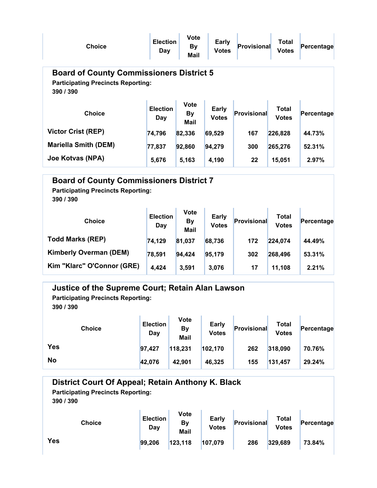| <b>Choice</b>                                                                                             | <b>Election</b><br>Day | <b>Vote</b><br><b>By</b><br>Mail | Early<br><b>Votes</b>        | Provisional        | Total<br><b>Votes</b>        | Percentage |  |  |  |
|-----------------------------------------------------------------------------------------------------------|------------------------|----------------------------------|------------------------------|--------------------|------------------------------|------------|--|--|--|
| <b>Board of County Commissioners District 5</b><br><b>Participating Precincts Reporting:</b><br>390 / 390 |                        |                                  |                              |                    |                              |            |  |  |  |
| <b>Choice</b>                                                                                             | <b>Election</b><br>Day | <b>Vote</b><br><b>By</b><br>Mail | <b>Early</b><br><b>Votes</b> | <b>Provisional</b> | <b>Total</b><br><b>Votes</b> | Percentage |  |  |  |
| <b>Victor Crist (REP)</b>                                                                                 | 74,796                 | 82,336                           | 69,529                       | 167                | 226,828                      | 44.73%     |  |  |  |
| <b>Mariella Smith (DEM)</b>                                                                               | 77,837                 | 92,860                           | 94,279                       | 300                | 265,276                      | 52.31%     |  |  |  |
| Joe Kotvas (NPA)                                                                                          | 5,676                  | 5,163                            | 4,190                        | 22                 | 15,051                       | 2.97%      |  |  |  |

### Board of County Commissioners District 7 Participating Precincts Reporting:

| <b>Choice</b>                 | <b>Election</b><br>Day | <b>Vote</b><br><b>By</b><br><b>Mail</b> | <b>Early</b><br><b>Votes</b> | Provisional | Total<br><b>Votes</b> | Percentage |
|-------------------------------|------------------------|-----------------------------------------|------------------------------|-------------|-----------------------|------------|
| <b>Todd Marks (REP)</b>       | 74,129                 | 81,037                                  | 68,736                       | 172         | 224,074               | 44.49%     |
| <b>Kimberly Overman (DEM)</b> | 78,591                 | 94,424                                  | 95,179                       | 302         | 268,496               | 53.31%     |
| Kim "Klarc" O'Connor (GRE)    | 4,424                  | 3,591                                   | 3.076                        | 17          | 11,108                | 2.21%      |

| Justice of the Supreme Court; Retain Alan Lawson<br><b>Participating Precincts Reporting:</b><br>390 / 390 |                        |                           |                              |             |                       |            |  |  |
|------------------------------------------------------------------------------------------------------------|------------------------|---------------------------|------------------------------|-------------|-----------------------|------------|--|--|
| <b>Choice</b>                                                                                              | <b>Election</b><br>Day | <b>Vote</b><br>By<br>Mail | <b>Early</b><br><b>Votes</b> | Provisional | Total<br><b>Votes</b> | Percentage |  |  |
| <b>Yes</b>                                                                                                 | 97.427                 | 118,231                   | 102,170                      | 262         | 318,090               | 70.76%     |  |  |
| <b>No</b>                                                                                                  | 42,076                 | 42.901                    | 46,325                       | 155         | 131,457               | 29.24%     |  |  |

| District Court Of Appeal; Retain Anthony K. Black<br><b>Participating Precincts Reporting:</b><br>390 / 390 |                        |                           |                              |             |                       |            |  |  |
|-------------------------------------------------------------------------------------------------------------|------------------------|---------------------------|------------------------------|-------------|-----------------------|------------|--|--|
| <b>Choice</b>                                                                                               | <b>Election</b><br>Day | Vote<br><b>By</b><br>Mail | <b>Early</b><br><b>Votes</b> | Provisional | Total<br><b>Votes</b> | Percentage |  |  |
| Yes                                                                                                         | 99,206                 | 123,118                   | 107,079                      | 286         | 329,689               | 73.84%     |  |  |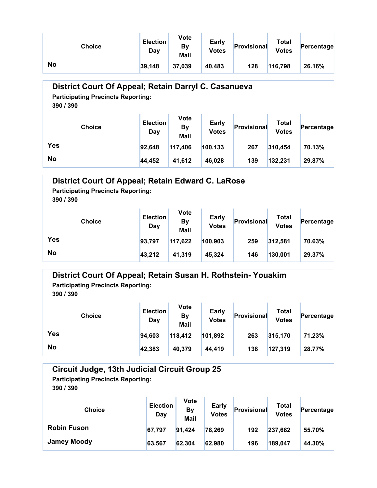| Choice | <b>Election</b><br>Day | Vote<br>By<br>Mail | Early<br><b>Votes</b> | Provisional | Total<br><b>Votes</b> | Percentage |
|--------|------------------------|--------------------|-----------------------|-------------|-----------------------|------------|
| No     | 39,148                 | 37,039             | 40,483                | 128         | 116,798               | 26.16%     |

### District Court Of Appeal; Retain Darryl C. Casanueva

Participating Precincts Reporting:

390 / 390

| <b>Choice</b> | <b>Election</b><br>Day | Vote<br>By<br>Mail | <b>Early</b><br><b>Votes</b> | Provisional | <b>Total</b><br><b>Votes</b> | Percentage |
|---------------|------------------------|--------------------|------------------------------|-------------|------------------------------|------------|
| <b>Yes</b>    | 92,648                 | 117,406            | 100,133                      | 267         | 310,454                      | 70.13%     |
| <b>No</b>     | 44,452                 | 41,612             | 46,028                       | 139         | 132,231                      | 29.87%     |

| District Court Of Appeal; Retain Edward C. LaRose<br><b>Participating Precincts Reporting:</b><br>390 / 390 |                        |                                  |                       |                    |                       |            |  |  |  |
|-------------------------------------------------------------------------------------------------------------|------------------------|----------------------------------|-----------------------|--------------------|-----------------------|------------|--|--|--|
| <b>Choice</b>                                                                                               | <b>Election</b><br>Day | <b>Vote</b><br><b>By</b><br>Mail | Early<br><b>Votes</b> | <b>Provisional</b> | Total<br><b>Votes</b> | Percentage |  |  |  |
| <b>Yes</b>                                                                                                  | 93,797                 | 117,622                          | 100,903               | 259                | 312,581               | 70.63%     |  |  |  |
| <b>No</b>                                                                                                   | 43,212                 | 41.319                           | 45.324                | 146                | 130,001               | 29.37%     |  |  |  |

#### District Court Of Appeal; Retain Susan H. Rothstein- Youakim

Participating Precincts Reporting:

390 / 390

| <b>Choice</b> | <b>Election</b><br>Day | Vote<br>By<br>Mail | <b>Early</b><br><b>Votes</b> | Provisional | Total<br><b>Votes</b> | Percentage |
|---------------|------------------------|--------------------|------------------------------|-------------|-----------------------|------------|
| <b>Yes</b>    | 94,603                 | 118,412            | 101,892                      | 263         | 315,170               | 71.23%     |
| <b>No</b>     | 42,383                 | 40,379             | 44,419                       | 138         | 127,319               | 28.77%     |

#### Circuit Judge, 13th Judicial Circuit Group 25 Participating Precincts Reporting:

| <b>Choice</b>      | <b>Election</b><br>Day | Vote<br><b>By</b><br><b>Mail</b> | Early<br><b>Votes</b> | Provisional | Total<br><b>Votes</b> | Percentage |
|--------------------|------------------------|----------------------------------|-----------------------|-------------|-----------------------|------------|
| <b>Robin Fuson</b> | 67,797                 | 91,424                           | 78,269                | 192         | 237,682               | 55.70%     |
| <b>Jamey Moody</b> | 63,567                 | 62,304                           | 62,980                | 196         | 189,047               | 44.30%     |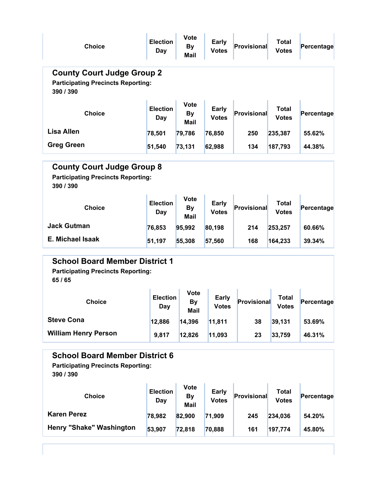| <b>Choice</b>                                                                                                                                                                            | <b>Election</b><br><b>Day</b> | <b>Vote</b><br><b>By</b><br><b>Mail</b> | <b>Early</b><br><b>Votes</b> | Provisional | <b>Total</b><br><b>Votes</b> | Percentage |  |  |  |
|------------------------------------------------------------------------------------------------------------------------------------------------------------------------------------------|-------------------------------|-----------------------------------------|------------------------------|-------------|------------------------------|------------|--|--|--|
| <b>County Court Judge Group 2</b><br><b>Participating Precincts Reporting:</b><br>390 / 390                                                                                              |                               |                                         |                              |             |                              |            |  |  |  |
| <b>Choice</b>                                                                                                                                                                            | <b>Election</b><br>Day        | Vote<br><b>By</b><br><b>Mail</b>        | <b>Early</b><br><b>Votes</b> | Provisional | <b>Total</b><br><b>Votes</b> | Percentage |  |  |  |
| <b>Lisa Allen</b>                                                                                                                                                                        | 78,501                        | 79,786                                  | 76,850                       | 250         | 235,387                      | 55.62%     |  |  |  |
| <b>Greg Green</b>                                                                                                                                                                        | 51,540                        | 73,131                                  | 62,988                       | 134         | 187,793                      | 44.38%     |  |  |  |
| <b>County Court Judge Group 8</b><br><b>Participating Precincts Reporting:</b><br>390 / 390<br><b>Vote</b>                                                                               |                               |                                         |                              |             |                              |            |  |  |  |
| <b>Choice</b>                                                                                                                                                                            | <b>Election</b><br>Day        | <b>By</b><br><b>Mail</b>                | Early<br><b>Votes</b>        | Provisional | <b>Total</b><br><b>Votes</b> | Percentage |  |  |  |
| <b>Jack Gutman</b>                                                                                                                                                                       | 76,853                        | 95,992                                  | 80,198                       | 214         | 253,257                      | 60.66%     |  |  |  |
| <b>E. Michael Isaak</b>                                                                                                                                                                  | 51,197                        | 55,308                                  | 57,560                       | 168         | 164,233                      | 39.34%     |  |  |  |
| <b>School Board Member District 1</b><br><b>Participating Precincts Reporting:</b><br>65 / 65<br>Vote<br><b>Election</b><br><b>Early</b><br><b>Total</b><br><b>Choice</b><br>Provisional |                               |                                         |                              |             |                              |            |  |  |  |
|                                                                                                                                                                                          | Day                           | <b>By</b><br>Mail                       | <b>votes</b>                 |             | <b>votes</b>                 | Percentage |  |  |  |
| <b>Steve Cona</b>                                                                                                                                                                        | 12,886                        | 14,396                                  | 11,811                       | 38          | 39,131                       | 53.69%     |  |  |  |
| <b>William Henry Person</b>                                                                                                                                                              | 9,817                         | 12,826                                  | 11,093                       | 23          | 33,759                       | 46.31%     |  |  |  |
| <b>School Board Member District 6</b><br><b>Participating Precincts Reporting:</b><br>390 / 390<br><b>Vote</b><br>Early<br><b>Election</b><br><b>Total</b>                               |                               |                                         |                              |             |                              |            |  |  |  |

| <b>Choice</b>                   | <b>Election</b><br>Day | <b>Vote</b><br>Βv<br><b>Mail</b> | Early<br><b>Votes</b> | Provisional | Total<br><b>Votes</b> | Percentage |
|---------------------------------|------------------------|----------------------------------|-----------------------|-------------|-----------------------|------------|
| <b>Karen Perez</b>              | 78,982                 | 82,900                           | 71,909                | 245         | 234,036               | 54.20%     |
| <b>Henry "Shake" Washington</b> | 53,907                 | 72,818                           | 70,888                | 161         | 197,774               | 45.80%     |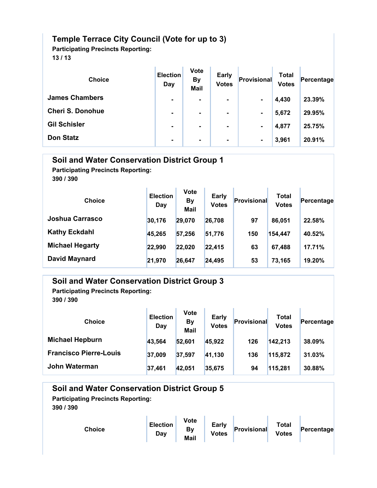### Temple Terrace City Council (Vote for up to 3)

Participating Precincts Reporting:

13 / 13

| <b>Choice</b>           | <b>Election</b><br>Day | <b>Vote</b><br><b>By</b><br><b>Mail</b> | <b>Early</b><br><b>Votes</b> | Provisional    | Total<br><b>Votes</b> | Percentage |
|-------------------------|------------------------|-----------------------------------------|------------------------------|----------------|-----------------------|------------|
| <b>James Chambers</b>   | ۰                      | $\blacksquare$                          | $\blacksquare$               | $\blacksquare$ | 4,430                 | 23.39%     |
| <b>Cheri S. Donohue</b> | ۰                      | $\blacksquare$                          | $\blacksquare$               | $\blacksquare$ | 5,672                 | 29.95%     |
| <b>Gil Schisler</b>     | ٠                      | $\blacksquare$                          | $\blacksquare$               | $\blacksquare$ | 4,877                 | 25.75%     |
| <b>Don Statz</b>        | ۰                      | $\blacksquare$                          | ٠                            | $\blacksquare$ | 3,961                 | 20.91%     |

| <b>Soil and Water Conservation District Group 1</b><br><b>Participating Precincts Reporting:</b><br>390 / 390 |                        |                                  |                       |             |                              |            |  |  |  |
|---------------------------------------------------------------------------------------------------------------|------------------------|----------------------------------|-----------------------|-------------|------------------------------|------------|--|--|--|
| <b>Choice</b>                                                                                                 | <b>Election</b><br>Day | <b>Vote</b><br><b>By</b><br>Mail | Early<br><b>Votes</b> | Provisional | <b>Total</b><br><b>Votes</b> | Percentage |  |  |  |
| Joshua Carrasco                                                                                               | 30,176                 | 29,070                           | 26,708                | 97          | 86,051                       | 22.58%     |  |  |  |
| <b>Kathy Eckdahl</b>                                                                                          | 45,265                 | 57,256                           | 51,776                | 150         | 154,447                      | 40.52%     |  |  |  |
| <b>Michael Hegarty</b>                                                                                        | 22,990                 | 22,020                           | 22,415                | 63          | 67,488                       | 17.71%     |  |  |  |
| <b>David Maynard</b>                                                                                          | 21,970                 | 26,647                           | 24,495                | 53          | 73,165                       | 19.20%     |  |  |  |

### Soil and Water Conservation District Group 3

Participating Precincts Reporting: 390 / 390

| <b>Choice</b>                 | <b>Election</b><br>Day | <b>Vote</b><br><b>By</b><br><b>Mail</b> | Early<br><b>Votes</b> | Provisional | Total<br><b>Votes</b> | Percentage |
|-------------------------------|------------------------|-----------------------------------------|-----------------------|-------------|-----------------------|------------|
| <b>Michael Hepburn</b>        | 43,564                 | 52,601                                  | 45,922                | 126         | 142,213               | 38.09%     |
| <b>Francisco Pierre-Louis</b> | 37,009                 | 37,597                                  | 41,130                | 136         | 115,872               | 31.03%     |
| John Waterman                 | 37,461                 | 42,051                                  | 35,675                | 94          | 115,281               | 30.88%     |

n.

| <b>Soil and Water Conservation District Group 5</b><br><b>Participating Precincts Reporting:</b><br>390 / 390 |                        |                                  |                       |             |                       |            |  |
|---------------------------------------------------------------------------------------------------------------|------------------------|----------------------------------|-----------------------|-------------|-----------------------|------------|--|
| <b>Choice</b>                                                                                                 | <b>Election</b><br>Day | <b>Vote</b><br>By<br><b>Mail</b> | Early<br><b>Votes</b> | Provisional | Total<br><b>Votes</b> | Percentage |  |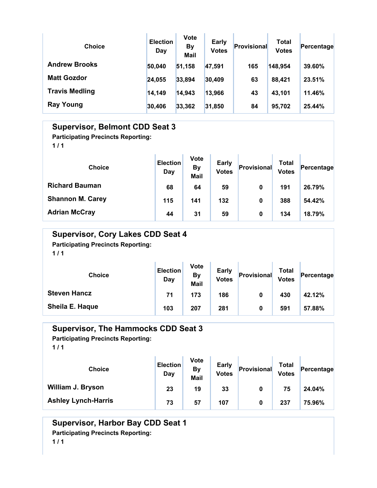| <b>Choice</b>         | <b>Election</b><br>Day | <b>Vote</b><br><b>By</b><br><b>Mail</b> | <b>Early</b><br><b>Votes</b> | Provisional | Total<br><b>Votes</b> | Percentage |
|-----------------------|------------------------|-----------------------------------------|------------------------------|-------------|-----------------------|------------|
| <b>Andrew Brooks</b>  | 50,040                 | 51,158                                  | 47,591                       | 165         | 148,954               | 39.60%     |
| <b>Matt Gozdor</b>    | 24,055                 | 33,894                                  | 30,409                       | 63          | 88,421                | 23.51%     |
| <b>Travis Medling</b> | 14,149                 | 14,943                                  | 13,966                       | 43          | 43,101                | 11.46%     |
| <b>Ray Young</b>      | 30,406                 | 33,362                                  | 31,850                       | 84          | 95,702                | 25.44%     |

#### Supervisor, Belmont CDD Seat 3

Participating Precincts Reporting:

 $1/1$ 

| <b>Choice</b>           | <b>Election</b><br>Day | <b>Vote</b><br><b>By</b><br><b>Mail</b> | <b>Early</b><br><b>Votes</b> | Provisional | Total<br><b>Votes</b> | Percentage |
|-------------------------|------------------------|-----------------------------------------|------------------------------|-------------|-----------------------|------------|
| <b>Richard Bauman</b>   | 68                     | 64                                      | 59                           | 0           | 191                   | 26.79%     |
| <b>Shannon M. Carey</b> | 115                    | 141                                     | 132                          | 0           | 388                   | 54.42%     |
| <b>Adrian McCray</b>    | 44                     | 31                                      | 59                           | 0           | 134                   | 18.79%     |

#### Supervisor, Cory Lakes CDD Seat 4 Participating Precincts Reporting:

 $1/1$ 

| <b>Choice</b>       | <b>Election</b><br>Day | <b>Vote</b><br><b>By</b><br><b>Mail</b> | <b>Early</b><br><b>Votes</b> | Provisional | Total<br><b>Votes</b> | Percentage |
|---------------------|------------------------|-----------------------------------------|------------------------------|-------------|-----------------------|------------|
| <b>Steven Hancz</b> | 71                     | 173                                     | 186                          | 0           | 430                   | 42.12%     |
| Sheila E. Haque     | 103                    | 207                                     | 281                          | 0           | 591                   | 57.88%     |

#### Supervisor, The Hammocks CDD Seat 3

Participating Precincts Reporting:

 $1/1$ 

| <b>Choice</b>              | <b>Election</b><br>Day | <b>Vote</b><br>By<br><b>Mail</b> | <b>Early</b><br><b>Votes</b> | Provisional | <b>Total</b><br><b>Votes</b> | Percentage |
|----------------------------|------------------------|----------------------------------|------------------------------|-------------|------------------------------|------------|
| <b>William J. Bryson</b>   | 23                     | 19                               | 33                           | 0           | 75                           | 24.04%     |
| <b>Ashley Lynch-Harris</b> | 73                     | 57                               | 107                          | 0           | 237                          | 75.96%     |

#### Supervisor, Harbor Bay CDD Seat 1 Participating Precincts Reporting:  $1/1$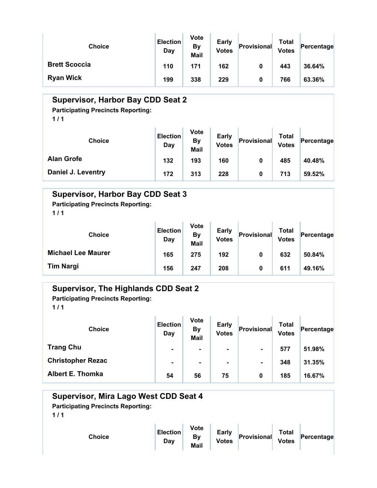| <b>Choice</b>        | <b>Election</b><br>Day | <b>Vote</b><br>By<br><b>Mail</b> | <b>Early</b><br><b>Votes</b> | Provisional | Total<br><b>Votes</b> | Percentage |
|----------------------|------------------------|----------------------------------|------------------------------|-------------|-----------------------|------------|
| <b>Brett Scoccia</b> | 110                    | 171                              | 162                          | 0           | 443                   | 36.64%     |
| <b>Ryan Wick</b>     | 199                    | 338                              | 229                          | 0           | 766                   | 63.36%     |

### Supervisor, Harbor Bay CDD Seat 2

Participating Precincts Reporting:

 $1/1$ 

| <b>Choice</b>      | <b>Election</b><br>Day | <b>Vote</b><br>By<br>Mail | <b>Early</b><br><b>Votes</b> | Provisional | <b>Total</b><br><b>Votes</b> | Percentage |
|--------------------|------------------------|---------------------------|------------------------------|-------------|------------------------------|------------|
| <b>Alan Grofe</b>  | 132                    | 193                       | 160                          | 0           | 485                          | 40.48%     |
| Daniel J. Leventry | 172                    | 313                       | 228                          | 0           | 713                          | 59.52%     |

### Supervisor, Harbor Bay CDD Seat 3

Participating Precincts Reporting:

 $1/1$ 

| <b>Choice</b>             | <b>Election</b><br>Day | <b>Vote</b><br>By<br>Mail | <b>Early</b><br><b>Votes</b> | Provisional | Total<br><b>Votes</b> | Percentage |
|---------------------------|------------------------|---------------------------|------------------------------|-------------|-----------------------|------------|
| <b>Michael Lee Maurer</b> | 165                    | 275                       | 192                          | 0           | 632                   | 50.84%     |
| <b>Tim Nargi</b>          | 156                    | 247                       | 208                          | 0           | 611                   | 49.16%     |

### Supervisor, The Highlands CDD Seat 2

Participating Precincts Reporting:

| <b>Choice</b>            | <b>Election</b><br>Day | <b>Vote</b><br><b>By</b><br><b>Mail</b> | <b>Early</b><br><b>Votes</b> | Provisional    | Total<br><b>Votes</b> | Percentage |  |
|--------------------------|------------------------|-----------------------------------------|------------------------------|----------------|-----------------------|------------|--|
| <b>Trang Chu</b>         | $\blacksquare$         | $\blacksquare$                          | ۰.                           | $\blacksquare$ | 577                   | 51.98%     |  |
| <b>Christopher Rezac</b> | $\blacksquare$         | $\blacksquare$                          | $\blacksquare$               | $\blacksquare$ | 348                   | 31.35%     |  |
| <b>Albert E. Thomka</b>  | 54                     | 56                                      | 75                           | 0              | 185                   | 16.67%     |  |

| Supervisor, Mira Lago West CDD Seat 4<br><b>Participating Precincts Reporting:</b><br>1/1 |                        |                                         |                              |             |                       |            |
|-------------------------------------------------------------------------------------------|------------------------|-----------------------------------------|------------------------------|-------------|-----------------------|------------|
| <b>Choice</b>                                                                             | <b>Election</b><br>Day | <b>Vote</b><br><b>By</b><br><b>Mail</b> | <b>Early</b><br><b>Votes</b> | Provisional | Total<br><b>Votes</b> | Percentage |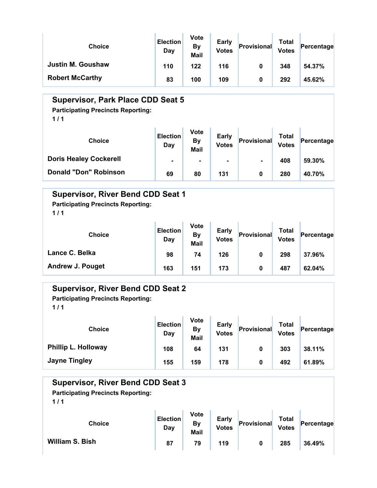| <b>Choice</b>            | <b>Election</b><br>Day | <b>Vote</b><br>By<br><b>Mail</b> | Early<br><b>Votes</b> | Provisional | Total<br><b>Votes</b> | Percentage |
|--------------------------|------------------------|----------------------------------|-----------------------|-------------|-----------------------|------------|
| <b>Justin M. Goushaw</b> | 110                    | 122                              | 116                   | 0           | 348                   | 54.37%     |
| <b>Robert McCarthy</b>   | 83                     | 100                              | 109                   | 0           | 292                   | 45.62%     |

#### Supervisor, Park Place CDD Seat 5

Participating Precincts Reporting:

 $1/1$ 

| <b>Choice</b>                 | <b>Election</b><br>Day | <b>Vote</b><br><b>By</b><br><b>Mail</b> | <b>Early</b><br><b>Votes</b> | Provisional    | <b>Total</b><br><b>Votes</b> | Percentage |
|-------------------------------|------------------------|-----------------------------------------|------------------------------|----------------|------------------------------|------------|
| <b>Doris Healey Cockerell</b> | $\blacksquare$         | $\blacksquare$                          | $\blacksquare$               | $\blacksquare$ | 408                          | 59.30%     |
| <b>Donald "Don" Robinson</b>  | 69                     | 80                                      | 131                          | 0              | 280                          | 40.70%     |

#### Supervisor, River Bend CDD Seat 1

Participating Precincts Reporting:

 $1/1$ 

| <b>Choice</b>           | <b>Election</b><br>Day | <b>Vote</b><br>By<br>Mail | <b>Early</b><br><b>Votes</b> | Provisional | Total<br><b>Votes</b> | Percentage |
|-------------------------|------------------------|---------------------------|------------------------------|-------------|-----------------------|------------|
| Lance C. Belka          | 98                     | 74                        | 126                          | 0           | 298                   | 37.96%     |
| <b>Andrew J. Pouget</b> | 163                    | 151                       | 173                          | 0           | 487                   | 62.04%     |

 $Percentage$ 

#### Supervisor, River Bend CDD Seat 2

Participating Precincts Reporting:  $1/1$ 

Choice **Election Day** Vote By Mail Early Early **Provisional** Total Votes Phillip L. Holloway 108 64 131 0 303 38.11%

#### Supervisor, River Bend CDD Seat 3 Choice **Election** Day Vote By Mail Early Early **Provisional** Total Votes Percentage William S. Bish 87 | 87 | 79 | 119 | 0 | 285 | 36.49% Participating Precincts Reporting:  $1/1$

Jayne Tingley **155 159 178 0 179 178 159 178** 159 178 1.89%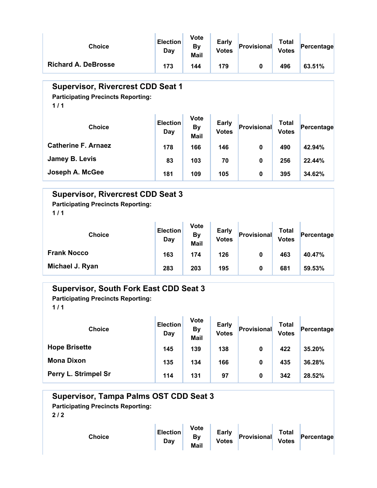| <b>Choice</b>                                                                                | <b>Election</b><br>Day | <b>Vote</b><br><b>By</b><br>Mail        | <b>Early</b><br><b>Votes</b> | <b>Provisional</b> | <b>Total</b><br><b>Votes</b> | Percentage |  |  |
|----------------------------------------------------------------------------------------------|------------------------|-----------------------------------------|------------------------------|--------------------|------------------------------|------------|--|--|
| <b>Richard A. DeBrosse</b>                                                                   | 173                    | 144                                     | 179                          | $\bf{0}$           | 496                          | 63.51%     |  |  |
| <b>Supervisor, Rivercrest CDD Seat 1</b><br><b>Participating Precincts Reporting:</b><br>1/1 |                        |                                         |                              |                    |                              |            |  |  |
| <b>Choice</b>                                                                                | <b>Election</b><br>Day | <b>Vote</b><br><b>By</b><br><b>Mail</b> | <b>Early</b><br><b>Votes</b> | <b>Provisional</b> | <b>Total</b><br><b>Votes</b> | Percentage |  |  |
| <b>Catherine F. Arnaez</b>                                                                   | 178                    | 166                                     | 146                          | $\bf{0}$           | 490                          | 42.94%     |  |  |
| Jamey B. Levis                                                                               | 83                     | 103                                     | 70                           | $\bf{0}$           | 256                          | 22.44%     |  |  |
| Joseph A. McGee                                                                              | 181                    | 109                                     | 105                          | $\bf{0}$           | 395                          | 34.62%     |  |  |

### Supervisor, Rivercrest CDD Seat 3

Participating Precincts Reporting:

 $1/1$ 

| <b>Choice</b>      | <b>Election</b><br>Day | <b>Vote</b><br>By<br><b>Mail</b> | <b>Early</b><br><b>Votes</b> | Provisional | <b>Total</b><br><b>Votes</b> | Percentage |
|--------------------|------------------------|----------------------------------|------------------------------|-------------|------------------------------|------------|
| <b>Frank Nocco</b> | 163                    | 174                              | 126                          | 0           | 463                          | 40.47%     |
| Michael J. Ryan    | 283                    | 203                              | 195                          | 0           | 681                          | 59.53%     |

### Supervisor, South Fork East CDD Seat 3

Participating Precincts Reporting:

| <b>Choice</b>        | <b>Election</b><br>Day | <b>Vote</b><br><b>By</b><br><b>Mail</b> | <b>Early</b><br><b>Votes</b> | Provisional | Total<br><b>Votes</b> | Percentage |
|----------------------|------------------------|-----------------------------------------|------------------------------|-------------|-----------------------|------------|
| <b>Hope Brisette</b> | 145                    | 139                                     | 138                          | 0           | 422                   | 35.20%     |
| <b>Mona Dixon</b>    | 135                    | 134                                     | 166                          | 0           | 435                   | 36.28%     |
| Perry L. Strimpel Sr | 114                    | 131                                     | 97                           | 0           | 342                   | 28.52%     |

| <b>Supervisor, Tampa Palms OST CDD Seat 3</b><br><b>Participating Precincts Reporting:</b><br>2/2 |                        |                                  |                              |             |                       |            |
|---------------------------------------------------------------------------------------------------|------------------------|----------------------------------|------------------------------|-------------|-----------------------|------------|
| <b>Choice</b>                                                                                     | <b>Election</b><br>Day | <b>Vote</b><br>By<br><b>Mail</b> | <b>Early</b><br><b>Votes</b> | Provisional | Total<br><b>Votes</b> | Percentage |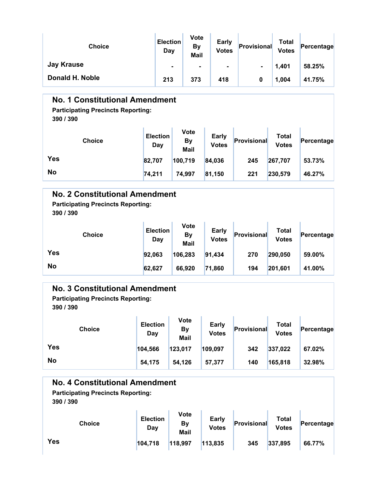| <b>Choice</b>     | <b>Election</b><br>Day | <b>Vote</b><br><b>By</b><br><b>Mail</b> | <b>Early</b><br><b>Votes</b> | Provisional | Total<br><b>Votes</b> | Percentage |
|-------------------|------------------------|-----------------------------------------|------------------------------|-------------|-----------------------|------------|
| <b>Jay Krause</b> | $\blacksquare$         | ۰                                       | ۰                            |             | 1,401                 | 58.25%     |
| Donald H. Noble   | 213                    | 373                                     | 418                          | 0           | 1,004                 | 41.75%     |

### No. 1 Constitutional Amendment

# Participating Precincts Reporting:

390 / 390

| <b>Choice</b> | <b>Election</b><br>Day | Vote<br>By<br>Mail | <b>Early</b><br><b>Votes</b> | Provisional | Total<br><b>Votes</b> | Percentage |
|---------------|------------------------|--------------------|------------------------------|-------------|-----------------------|------------|
| <b>Yes</b>    | 82,707                 | 100,719            | 84,036                       | 245         | 267,707               | 53.73%     |
| <b>No</b>     | 74,211                 | 74,997             | 81,150                       | 221         | 230,579               | 46.27%     |

#### No. 2 Constitutional Amendment

Participating Precincts Reporting:

390 / 390

| <b>Choice</b> | <b>Election</b><br>Day | <b>Vote</b><br>By<br>Mail | <b>Early</b><br><b>Votes</b> | Provisional | Total<br><b>Votes</b> | Percentage |
|---------------|------------------------|---------------------------|------------------------------|-------------|-----------------------|------------|
| <b>Yes</b>    | 92,063                 | 106,283                   | 91,434                       | 270         | 290,050               | 59.00%     |
| <b>No</b>     | 62,627                 | 66,920                    | 71,860                       | 194         | 201,601               | 41.00%     |

#### No. 3 Constitutional Amendment

Participating Precincts Reporting: 390 / 390

Choice Election Day Vote By Mail Early Early **Provisional** Total Votes Percentage Yes 104,566 123,017 109,097 342 337,022 67.02% No 32.98% 54,175 54,126 57,377 140 165,818 32.98%

### No. 4 Constitutional Amendment

Participating Precincts Reporting:

| <b>Choice</b> | <b>Election</b><br>Day | Vote<br>By<br>Mail | <b>Early</b><br><b>Votes</b> | Provisional | Total<br><b>Votes</b> | Percentage |
|---------------|------------------------|--------------------|------------------------------|-------------|-----------------------|------------|
| <b>Yes</b>    | 104,718                | 118,997            | 113,835                      | 345         | 337,895               | 66.77%     |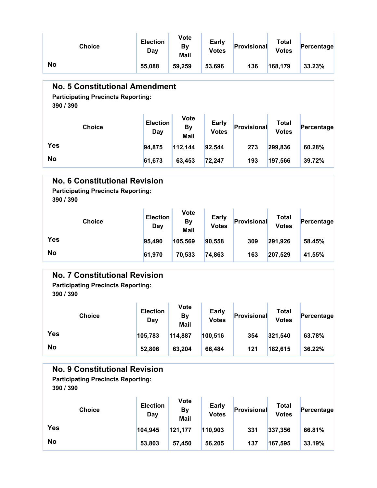| <b>Choice</b>                                                                                   | <b>Election</b><br>Day | Vote<br><b>By</b><br>Mail               | <b>Early</b><br><b>Votes</b> | Provisional        | <b>Total</b><br><b>Votes</b> | Percentage |  |  |
|-------------------------------------------------------------------------------------------------|------------------------|-----------------------------------------|------------------------------|--------------------|------------------------------|------------|--|--|
| <b>No</b>                                                                                       | 55,088                 | 59,259                                  | 53,696                       | 136                | 168,179                      | 33.23%     |  |  |
| <b>No. 5 Constitutional Amendment</b><br><b>Participating Precincts Reporting:</b><br>390 / 390 |                        |                                         |                              |                    |                              |            |  |  |
| <b>Choice</b>                                                                                   | <b>Election</b><br>Day | <b>Vote</b><br><b>By</b><br><b>Mail</b> | <b>Early</b><br><b>Votes</b> | <b>Provisional</b> | <b>Total</b><br><b>Votes</b> | Percentage |  |  |
| <b>Yes</b>                                                                                      | 94,875                 | 112,144                                 | 92,544                       | 273                | 299,836                      | 60.28%     |  |  |
| <b>No</b>                                                                                       | 61,673                 | 63,453                                  | 72,247                       | 193                | 197,566                      | 39.72%     |  |  |
| <b>No. 6 Constitutional Revision</b><br><b>Participating Precincts Reporting:</b><br>390 / 390  |                        |                                         |                              |                    |                              |            |  |  |
| <b>Choice</b>                                                                                   | <b>Election</b><br>Day | Vote<br><b>By</b><br><b>Mail</b>        | <b>Early</b><br><b>Votes</b> | <b>Provisional</b> | <b>Total</b><br><b>Votes</b> | Percentage |  |  |
| <b>Yes</b>                                                                                      | 95,490                 | 105,569                                 | 90,558                       | 309                | 291,926                      | 58.45%     |  |  |
| <b>No</b>                                                                                       | 61,970                 | 70,533                                  | 74,863                       | 163                | 207,529                      | 41.55%     |  |  |

### No. 7 Constitutional Revision

Participating Precincts Reporting:

390 / 390

| <b>Choice</b> | <b>Election</b><br>Day | Vote<br>By<br><b>Mail</b> | <b>Early</b><br><b>Votes</b> | Provisional | Total<br><b>Votes</b> | Percentage |
|---------------|------------------------|---------------------------|------------------------------|-------------|-----------------------|------------|
| <b>Yes</b>    | 105,783                | 114,887                   | 100,516                      | 354         | 321,540               | 63.78%     |
| <b>No</b>     | 52,806                 | 63,204                    | 66,484                       | 121         | 182,615               | 36.22%     |

#### No. 9 Constitutional Revision

Participating Precincts Reporting: 390 / 390

| <b>Choice</b> | <b>Election</b><br>Day | Vote<br><b>By</b><br>Mail | <b>Early</b><br><b>Votes</b> | Provisional | Total<br><b>Votes</b> | Percentage |
|---------------|------------------------|---------------------------|------------------------------|-------------|-----------------------|------------|
| <b>Yes</b>    | 104,945                | 121,177                   | 110,903                      | 331         | 337,356               | 66.81%     |
| <b>No</b>     | 53,803                 | 57.450                    | 56,205                       | 137         | 167,595               | 33.19%     |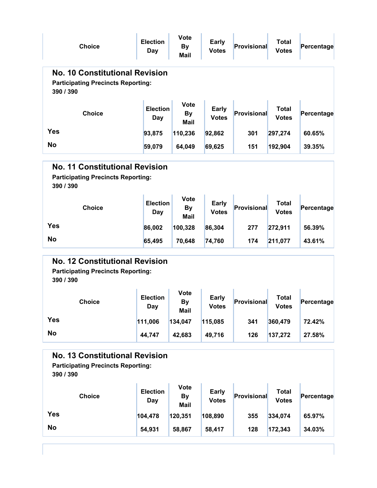| <b>Choice</b>                                                                                   | <b>Election</b><br><b>Day</b> | Vote<br><b>By</b><br><b>Mail</b>        | <b>Early</b><br><b>Votes</b> | <b>Provisional</b> | <b>Total</b><br><b>Votes</b> | Percentage |
|-------------------------------------------------------------------------------------------------|-------------------------------|-----------------------------------------|------------------------------|--------------------|------------------------------|------------|
| <b>No. 10 Constitutional Revision</b><br><b>Participating Precincts Reporting:</b><br>390 / 390 |                               |                                         |                              |                    |                              |            |
| <b>Choice</b>                                                                                   | <b>Election</b><br>Day        | Vote<br><b>By</b><br><b>Mail</b>        | <b>Early</b><br><b>Votes</b> | Provisional        | <b>Total</b><br><b>Votes</b> | Percentage |
| <b>Yes</b>                                                                                      | 93,875                        | 110,236                                 | 92,862                       | 301                | 297,274                      | 60.65%     |
| <b>No</b>                                                                                       | 59,079                        | 64,049                                  | 69,625                       | 151                | 192,904                      | 39.35%     |
|                                                                                                 |                               |                                         |                              |                    |                              |            |
| <b>No. 11 Constitutional Revision</b><br><b>Participating Precincts Reporting:</b><br>390 / 390 |                               |                                         |                              |                    |                              |            |
| <b>Choice</b>                                                                                   | <b>Election</b><br>Day        | <b>Vote</b><br><b>By</b><br><b>Mail</b> | <b>Early</b><br><b>Votes</b> | Provisional        | <b>Total</b><br><b>Votes</b> | Percentage |
| <b>Yes</b>                                                                                      | 86,002                        | 100,328                                 | 86,304                       | 277                | 272,911                      | 56.39%     |

Participating Precincts Reporting: 390 / 390

| <b>Choice</b> | <b>Election</b><br>Day | Vote<br>By<br>Mail | <b>Early</b><br><b>Votes</b> | Provisional | Total<br><b>Votes</b> | Percentage |
|---------------|------------------------|--------------------|------------------------------|-------------|-----------------------|------------|
| Yes           | 111,006                | 134,047            | 115,085                      | 341         | 360,479               | 72.42%     |
| <b>No</b>     | 44,747                 | 42,683             | 49,716                       | 126         | 137,272               | 27.58%     |

#### No. 13 Constitutional Revision

Participating Precincts Reporting:

| <b>Choice</b> | <b>Election</b><br>Day | Vote<br><b>By</b><br>Mail | <b>Early</b><br><b>Votes</b> | Provisional | Total<br><b>Votes</b> | Percentage |
|---------------|------------------------|---------------------------|------------------------------|-------------|-----------------------|------------|
| Yes           | 104,478                | 120,351                   | 108,890                      | 355         | 334,074               | 65.97%     |
| <b>No</b>     | 54,931                 | 58,867                    | 58,417                       | 128         | 172,343               | 34.03%     |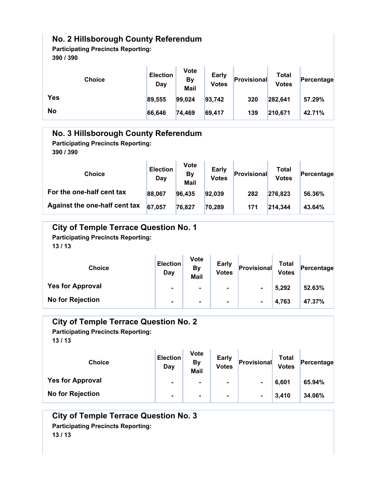### No. 2 Hillsborough County Referendum

Participating Precincts Reporting: 390 / 390

| <b>Choice</b> | <b>Election</b><br>Day | <b>Vote</b><br>By<br>Mail | <b>Early</b><br><b>Votes</b> | Provisional | Total<br><b>Votes</b> | Percentage |
|---------------|------------------------|---------------------------|------------------------------|-------------|-----------------------|------------|
| <b>Yes</b>    | 89,555                 | 99,024                    | 93,742                       | 320         | 282,641               | 57.29%     |
| <b>No</b>     | 66,646                 | 74,469                    | 69,417                       | 139         | 210,671               | 42.71%     |

| No. 3 Hillsborough County Referendum<br><b>Participating Precincts Reporting:</b><br>390 / 390 |                        |                                  |                       |             |                       |            |  |
|------------------------------------------------------------------------------------------------|------------------------|----------------------------------|-----------------------|-------------|-----------------------|------------|--|
| <b>Choice</b>                                                                                  | <b>Election</b><br>Day | <b>Vote</b><br><b>By</b><br>Mail | Early<br><b>Votes</b> | Provisional | Total<br><b>Votes</b> | Percentage |  |
| For the one-half cent tax                                                                      | 88,067                 | 96,435                           | 92,039                | 282         | 276,823               | 56.36%     |  |
| Against the one-half cent tax                                                                  | 67,057                 | 76,827                           | 70,289                | 171         | 214,344               | 43.64%     |  |

| <b>City of Temple Terrace Question No. 1</b><br><b>Participating Precincts Reporting:</b><br>13/13 |                        |                                         |                              |                |                              |            |  |
|----------------------------------------------------------------------------------------------------|------------------------|-----------------------------------------|------------------------------|----------------|------------------------------|------------|--|
| <b>Choice</b>                                                                                      | <b>Election</b><br>Day | <b>Vote</b><br><b>By</b><br><b>Mail</b> | <b>Early</b><br><b>Votes</b> | Provisional    | <b>Total</b><br><b>Votes</b> | Percentage |  |
| <b>Yes for Approval</b>                                                                            | $\blacksquare$         |                                         | ۰.                           | $\blacksquare$ | 5,292                        | 52.63%     |  |
| <b>No for Rejection</b>                                                                            | $\blacksquare$         | $\blacksquare$                          | ۰                            | $\blacksquare$ | 4,763                        | 47.37%     |  |

| <b>City of Temple Terrace Question No. 2</b><br><b>Participating Precincts Reporting:</b><br>13/13 |                        |                                         |                              |                |                              |            |  |
|----------------------------------------------------------------------------------------------------|------------------------|-----------------------------------------|------------------------------|----------------|------------------------------|------------|--|
| <b>Choice</b>                                                                                      | <b>Election</b><br>Day | <b>Vote</b><br><b>By</b><br><b>Mail</b> | <b>Early</b><br><b>Votes</b> | Provisional    | <b>Total</b><br><b>Votes</b> | Percentage |  |
| <b>Yes for Approval</b>                                                                            | $\blacksquare$         | ۰                                       | $\blacksquare$               | ۰              | 6,601                        | 65.94%     |  |
| <b>No for Rejection</b>                                                                            | ٠                      | ۰                                       | ۰                            | $\blacksquare$ | 3,410                        | 34.06%     |  |

City of Temple Terrace Question No. 3 Participating Precincts Reporting: 13 / 13